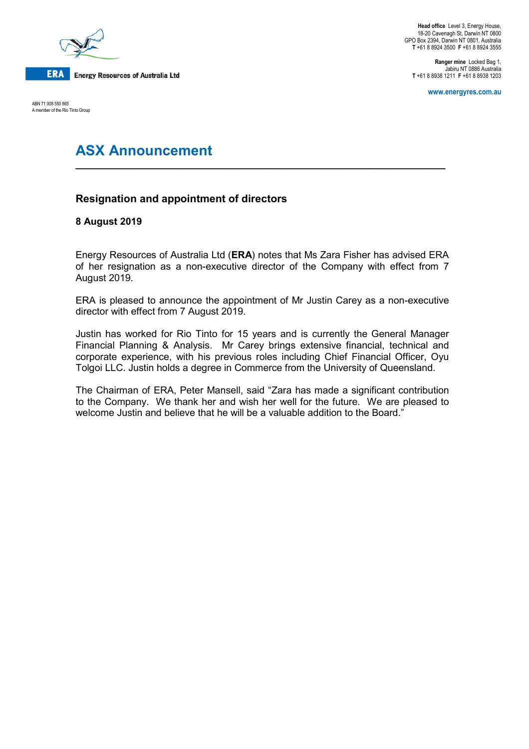

ABN 71 008 550 865 A member of the Rio Tinto Group

**Head office** Level 3, Energy House, 18-20 Cavenagh St, Darwin NT 0800 GPO Box 2394, Darwin NT 0801, Australia **T** +61 8 8924 3500 **F** +61 8 8924 3555

**Ranger mine** Locked Bag 1, Jabiru NT 0886 Australia **T** +61 8 8938 1211 **F** +61 8 8938 1203

**www.energyres.com.au**

# **ASX Announcement**

## **Resignation and appointment of directors**

### **8 August 2019**

Energy Resources of Australia Ltd (**ERA**) notes that Ms Zara Fisher has advised ERA of her resignation as a non-executive director of the Company with effect from 7 August 2019.

**\_\_\_\_\_\_\_\_\_\_\_\_\_\_\_\_\_\_\_\_\_\_\_\_\_\_\_\_\_\_\_\_\_\_\_\_\_\_\_\_\_\_\_\_\_\_\_\_\_\_\_\_\_\_\_\_\_\_\_\_\_\_\_\_\_\_\_\_**

ERA is pleased to announce the appointment of Mr Justin Carey as a non-executive director with effect from 7 August 2019.

Justin has worked for Rio Tinto for 15 years and is currently the General Manager Financial Planning & Analysis. Mr Carey brings extensive financial, technical and corporate experience, with his previous roles including Chief Financial Officer, Oyu Tolgoi LLC. Justin holds a degree in Commerce from the University of Queensland.

The Chairman of ERA, Peter Mansell, said "Zara has made a significant contribution to the Company. We thank her and wish her well for the future. We are pleased to welcome Justin and believe that he will be a valuable addition to the Board."